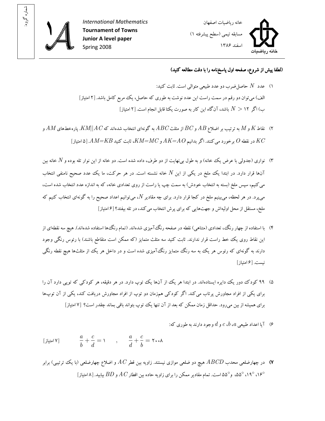

: شماره گروه



(لطفا پيش از شروع، صفحه اول پاسخ نامه را با دقت مطالعه کنيد)

- ۱) عدد  $N$  حاصل ضرب دو عدد طبيعي متوالي است. ثابت کنيد: الف) ميتوان دو رقم در سمت راست اين عدد نوشت به طور ي که حاصل، يک مربع کامل باشد .۲ [ امتياز ] ب) اگر ۱۲  $N>0$  باشد، آن گاه اين کار به صورت يکتا قابل انجام است. [۲ امتياز]
- ۲) نقاط  $K$  و  $M$  به ترتيب بر اضلاع  $AB$  و  $BC$  از مثلث  $ABC$  به گونهاى انتخاب شدهاند که $\mathit{KM}$ | $\mathit{AK}$  پارهخط هاى  $A$  و در نقطه O برخورد مي کنند. اگر بدانيم AK=AO و KM=MC، ثابت کنيد AM=KB. [۵] امتياز]
- ۳) نواري (جدولي با عرض يک خانه) و به طول بي نهايت از دو طرف، داده شده است. دو خانه از اين نوار تله بوده و N خانه بين آنها قرار دارد. در ابتدا يک ملخ در يکمی از اين  $N$  خانه نشسته است. در هر حرکت، ما يک عدد صحيح نامنفی انتخاب مي کنيم، سپس ملخ (بسته به انتخاب خودش) به سمت چپ يا راست از روي تعدادي خانه، که به اندازه عدد انتخاب شده است، می پرد. در هر لحظه، می بینیم ملخ در کجا قرار دارد. برای چه مقادیر  $N$ ، می $\vec{v}$ وانیم اعداد صحیح را به گونهای انتخاب کنیم که ملخ، مستقل از محل اوليهاش و جهت هايي كه براي پرش انتخاب مي كند، در تله بيفتد؟ [۶ امتياز]
- ۴) با استفاده از چهار رنگ، تعدادي (متناهي) نقطه در صفحه رنگ آميزي شدهاند. (تمام رنگ ها استفاده شدهاند). هيچ سه نقطهاي از اين نقاط روى يك خط راست قرار ندارند. ثابت كنيد سه مثلث متمايز (كه ممكن است متقاطع باشند) با رئوس رنگى وجود دارند به گونهای که رئوس هر يک به سه رنگ متمايز رنگ آميزي شده است و در داخل هر يک از مثلثها هيچ نقطه رنگي نيست ۶[ . امتياز]
- ۵) ۹۹ کودک دور يک دايره ايستادهاند. در ابتدا هر يک از آنها يک توپ دارد. در هر دقيقه، هر کودکي که توپي دارد آن را برای يکي از افراد مجاورش پرتاب مي کند. اگر کودکي همزمان دو توپ از افراد مجاورش دريافت کند، يکي از آن توپها براي هميشه از بين مي رود. حداقل زمان ممکن که بعد از آن تنها يک توپ بتواند باقي بماند چقدر است؟ [۷ امتياز]
	- ا اعداد طبيعي  $c$ ،  $c$ ،  $b$ ،  $a$  و  $b$  وجود دارند به طوري که:  $\epsilon$

,  $a \quad c \quad a \quad c$  $\frac{a}{b} + \frac{c}{d} = 1$ ,  $\frac{a}{d} + \frac{c}{b} = 1$ . ۷[ امتياز]

به تاریس استان محدب  $ABCD$  هیچ دو ضلعی موازی نیستند. زاویه بین قطر  $AC$  و اضلاع چهارضلعی (با یک ترتیبی) برابر (u ه ۱۹° ،۵۵° ،۵۵° و°۵۵ است. تمام مقادير ممکن را براي زاويه حاده بين اقطار  $AC$  و  $BD$  بيابيد. [۸ امتياز]  $\circ$